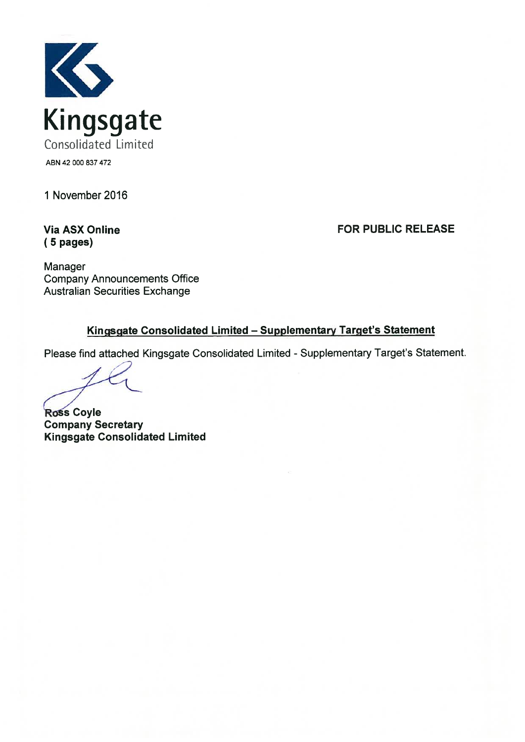

1 November 2016

**Via ASX Online**  $(5$  pages)

**FOR PUBLIC RELEASE** 

Manager **Company Announcements Office Australian Securities Exchange** 

#### Kingsgate Consolidated Limited - Supplementary Target's Statement

Please find attached Kingsgate Consolidated Limited - Supplementary Target's Statement.

**Ross Coyle Company Secretary Kingsgate Consolidated Limited**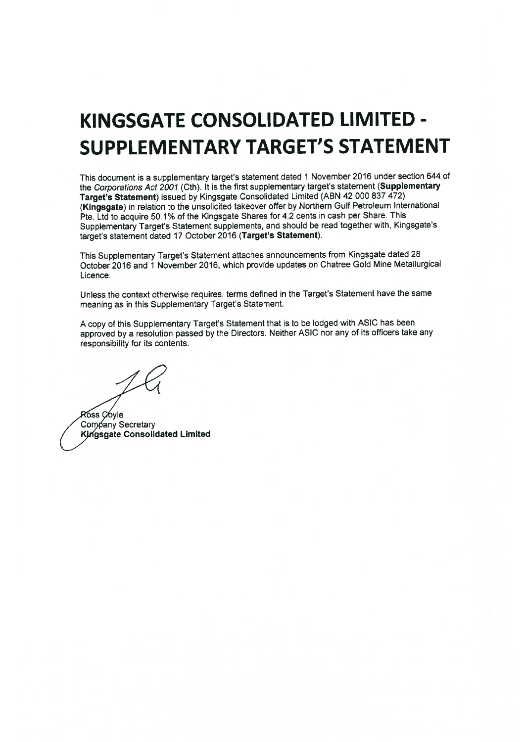### KINGSGATE CONSOLIDATED LIMITED -**SUPPLEMENTARY TARGET'S STATEMENT**

This document is a supplementary target's statement dated 1 November 2016 under section 644 of the Corporations Act 2001 (Cth). It is the first supplementary target's statement (Supplementary Target's Statement) issued by Kingsgate Consolidated Limited (ABN 42 000 837 472) (Kingsgate) in relation to the unsolicited takeover offer by Northern Gulf Petroleum International Pte. Ltd to acquire 50.1% of the Kingsgate Shares for 4.2 cents in cash per Share. This Supplementary Target's Statement supplements, and should be read together with, Kingsgate's target's statement dated 17 October 2016 (Target's Statement).

This Supplementary Target's Statement attaches announcements from Kingsgate dated 28 October 2016 and 1 November 2016, which provide updates on Chatree Gold Mine Metallurgical Licence.

Unless the context otherwise requires, terms defined in the Target's Statement have the same meaning as in this Supplementary Target's Statement.

A copy of this Supplementary Target's Statement that is to be lodged with ASIC has been approved by a resolution passed by the Directors. Neither ASIC nor any of its officers take any responsibility for its contents.

Ross Coyle Company Secretary Kingsgate Consolidated Limited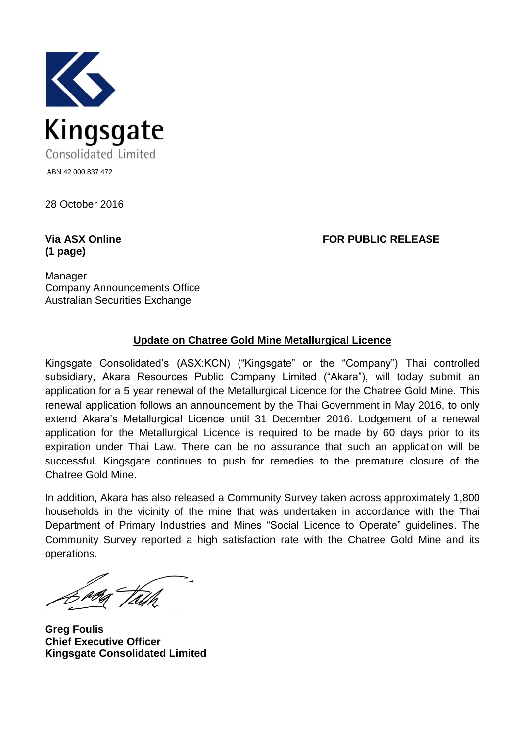

28 October 2016

## **(1 page)**

**Via ASX Online FOR PUBLIC RELEASE**

Manager Company Announcements Office Australian Securities Exchange

#### **Update on Chatree Gold Mine Metallurgical Licence**

Kingsgate Consolidated's (ASX:KCN) ("Kingsgate" or the "Company") Thai controlled subsidiary, Akara Resources Public Company Limited ("Akara"), will today submit an application for a 5 year renewal of the Metallurgical Licence for the Chatree Gold Mine. This renewal application follows an announcement by the Thai Government in May 2016, to only extend Akara's Metallurgical Licence until 31 December 2016. Lodgement of a renewal application for the Metallurgical Licence is required to be made by 60 days prior to its expiration under Thai Law. There can be no assurance that such an application will be successful. Kingsgate continues to push for remedies to the premature closure of the Chatree Gold Mine.

In addition, Akara has also released a Community Survey taken across approximately 1,800 households in the vicinity of the mine that was undertaken in accordance with the Thai Department of Primary Industries and Mines "Social Licence to Operate" guidelines. The Community Survey reported a high satisfaction rate with the Chatree Gold Mine and its operations.

**Greg Foulis Chief Executive Officer Kingsgate Consolidated Limited**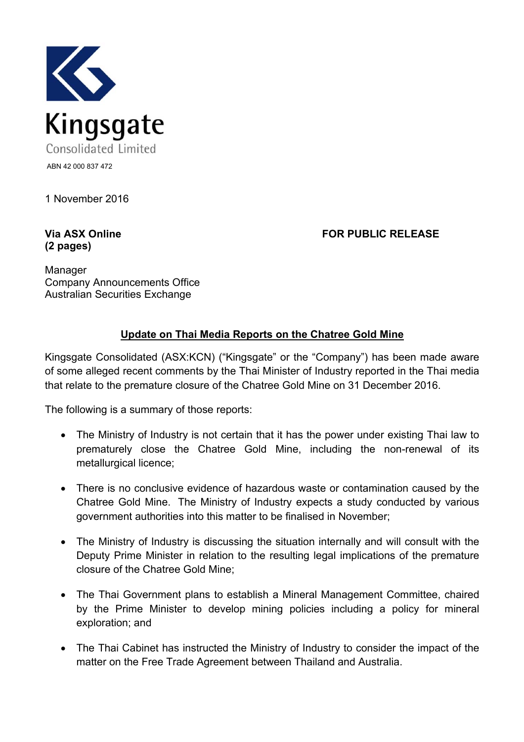

1 November 2016

# **(2 pages)**

**Via ASX Online FOR PUBLIC RELEASE**

Manager Company Announcements Office Australian Securities Exchange

#### **Update on Thai Media Reports on the Chatree Gold Mine**

Kingsgate Consolidated (ASX:KCN) ("Kingsgate" or the "Company") has been made aware of some alleged recent comments by the Thai Minister of Industry reported in the Thai media that relate to the premature closure of the Chatree Gold Mine on 31 December 2016.

The following is a summary of those reports:

- The Ministry of Industry is not certain that it has the power under existing Thai law to prematurely close the Chatree Gold Mine, including the non-renewal of its metallurgical licence;
- There is no conclusive evidence of hazardous waste or contamination caused by the Chatree Gold Mine. The Ministry of Industry expects a study conducted by various government authorities into this matter to be finalised in November;
- The Ministry of Industry is discussing the situation internally and will consult with the Deputy Prime Minister in relation to the resulting legal implications of the premature closure of the Chatree Gold Mine;
- The Thai Government plans to establish a Mineral Management Committee, chaired by the Prime Minister to develop mining policies including a policy for mineral exploration; and
- The Thai Cabinet has instructed the Ministry of Industry to consider the impact of the matter on the Free Trade Agreement between Thailand and Australia.